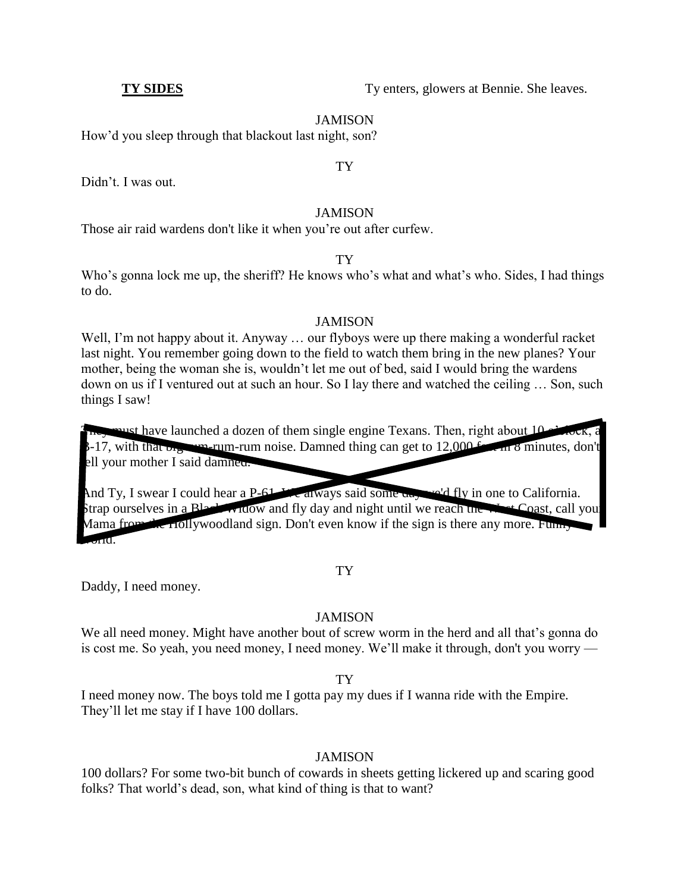**TY SIDES** Ty enters, glowers at Bennie. She leaves.

## JAMISON

How'd you sleep through that blackout last night, son?

# TY

Didn't. I was out.

## JAMISON

Those air raid wardens don't like it when you're out after curfew.

# TY

Who's gonna lock me up, the sheriff? He knows who's what and what's who. Sides, I had things to do.

# JAMISON

Well, I'm not happy about it. Anyway ... our flyboys were up there making a wonderful racket last night. You remember going down to the field to watch them bring in the new planes? Your mother, being the woman she is, wouldn't let me out of bed, said I would bring the wardens down on us if I ventured out at such an hour. So I lay there and watched the ceiling … Son, such things I saw!

 $m$  must have launched a dozen of them single engine Texans. Then, right about 10 o  $B-17$ , with that  $b_{12}$  rum-rum-rum noise. Damned thing can get to  $12,000$  features, don't ell your mother I said damned.

And Ty, I swear I could hear a P-61. We always said some day we'd fly in one to California. Strap ourselves in a Black Widow and fly day and night until we reach the  $\mathcal{H}$  Coast, call your Mama from the Hollywoodland sign. Don't even know if the sign is there any more. Funny  $\pi$ I $\sigma$ 

## TY

Daddy, I need money.

# JAMISON

We all need money. Might have another bout of screw worm in the herd and all that's gonna do is cost me. So yeah, you need money, I need money. We'll make it through, don't you worry —

TY

I need money now. The boys told me I gotta pay my dues if I wanna ride with the Empire. They'll let me stay if I have 100 dollars.

# JAMISON

100 dollars? For some two-bit bunch of cowards in sheets getting lickered up and scaring good folks? That world's dead, son, what kind of thing is that to want?